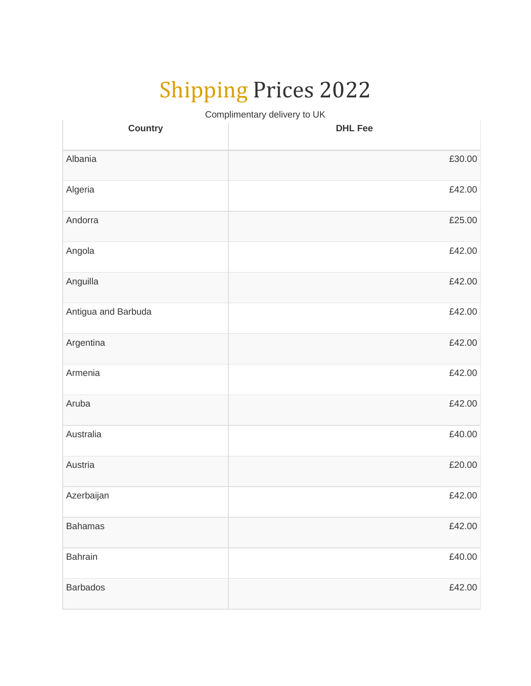## Shipping Prices 2022

Complimentary delivery to UK

| <b>Country</b>      | <b>DHL Fee</b> |
|---------------------|----------------|
| Albania             | £30.00         |
| Algeria             | £42.00         |
| Andorra             | £25.00         |
| Angola              | £42.00         |
| Anguilla            | £42.00         |
| Antigua and Barbuda | £42.00         |
| Argentina           | £42.00         |
| Armenia             | £42.00         |
| Aruba               | £42.00         |
| Australia           | £40.00         |
| Austria             | £20.00         |
| Azerbaijan          | £42.00         |
| <b>Bahamas</b>      | £42.00         |
| Bahrain             | £40.00         |
| <b>Barbados</b>     | £42.00         |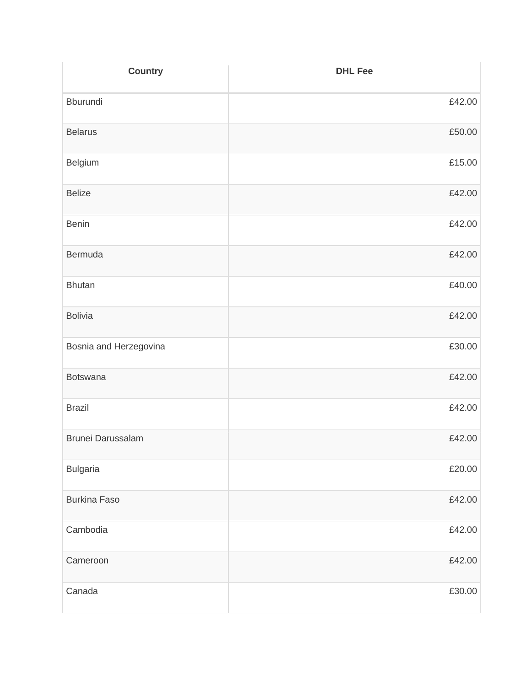| <b>Country</b>           | <b>DHL Fee</b> |
|--------------------------|----------------|
| Bburundi                 | £42.00         |
| <b>Belarus</b>           | £50.00         |
| Belgium                  | £15.00         |
| <b>Belize</b>            | £42.00         |
| <b>Benin</b>             | £42.00         |
| Bermuda                  | £42.00         |
| <b>Bhutan</b>            | £40.00         |
| <b>Bolivia</b>           | £42.00         |
| Bosnia and Herzegovina   | £30.00         |
| Botswana                 | £42.00         |
| <b>Brazil</b>            | £42.00         |
| <b>Brunei Darussalam</b> | £42.00         |
| <b>Bulgaria</b>          | £20.00         |
| <b>Burkina Faso</b>      | £42.00         |
| Cambodia                 | £42.00         |
| Cameroon                 | £42.00         |
| Canada                   | £30.00         |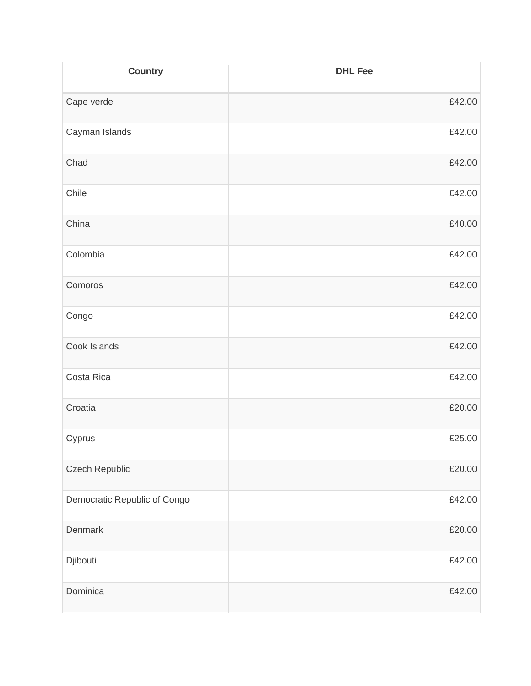| <b>Country</b>               | <b>DHL Fee</b> |
|------------------------------|----------------|
| Cape verde                   | £42.00         |
| Cayman Islands               | £42.00         |
| Chad                         | £42.00         |
| Chile                        | £42.00         |
| China                        | £40.00         |
| Colombia                     | £42.00         |
| Comoros                      | £42.00         |
| Congo                        | £42.00         |
| Cook Islands                 | £42.00         |
| Costa Rica                   | £42.00         |
| Croatia                      | £20.00         |
| Cyprus                       | £25.00         |
| Czech Republic               | £20.00         |
| Democratic Republic of Congo | £42.00         |
| Denmark                      | £20.00         |
| Djibouti                     | £42.00         |
| Dominica                     | £42.00         |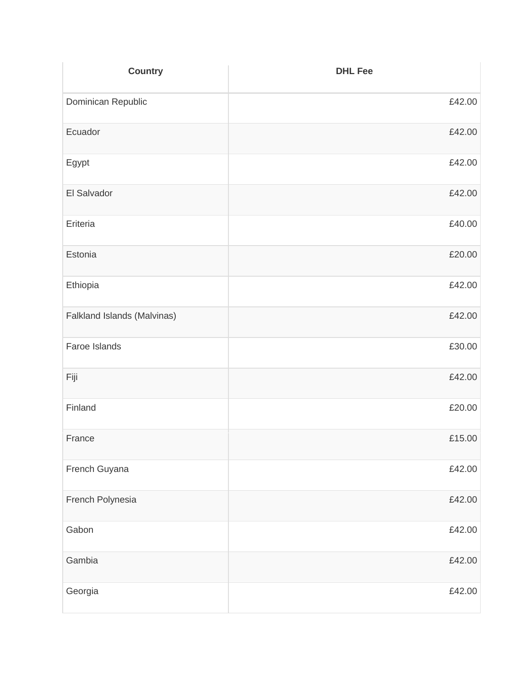| <b>Country</b>              | <b>DHL Fee</b> |
|-----------------------------|----------------|
| Dominican Republic          | £42.00         |
| Ecuador                     | £42.00         |
| Egypt                       | £42.00         |
| El Salvador                 | £42.00         |
| Eriteria                    | £40.00         |
| Estonia                     | £20.00         |
| Ethiopia                    | £42.00         |
| Falkland Islands (Malvinas) | £42.00         |
| Faroe Islands               | £30.00         |
| Fiji                        | £42.00         |
| Finland                     | £20.00         |
| France                      | £15.00         |
| French Guyana               | £42.00         |
| French Polynesia            | £42.00         |
| Gabon                       | £42.00         |
| Gambia                      | £42.00         |
| Georgia                     | £42.00         |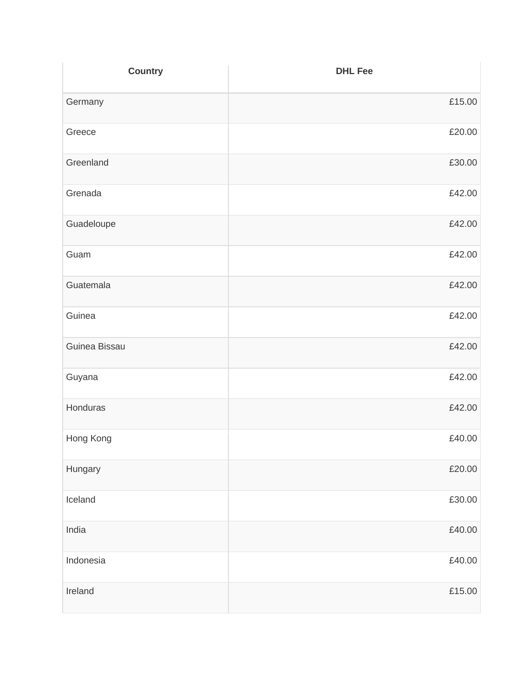| <b>Country</b> | <b>DHL Fee</b> |
|----------------|----------------|
| Germany        | £15.00         |
| Greece         | £20.00         |
| Greenland      | £30.00         |
| Grenada        | £42.00         |
| Guadeloupe     | £42.00         |
| Guam           | £42.00         |
| Guatemala      | £42.00         |
| Guinea         | £42.00         |
| Guinea Bissau  | £42.00         |
| Guyana         | £42.00         |
| Honduras       | £42.00         |
| Hong Kong      | £40.00         |
| Hungary        | £20.00         |
| Iceland        | £30.00         |
| India          | £40.00         |
| Indonesia      | £40.00         |
| Ireland        | £15.00         |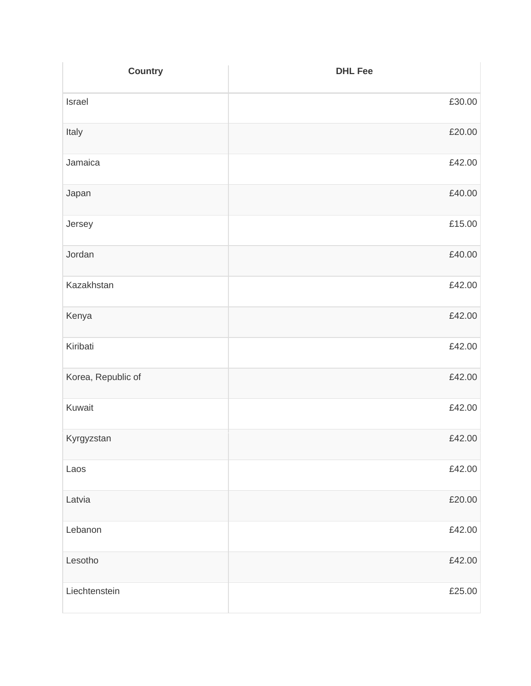| <b>Country</b>     | <b>DHL Fee</b> |
|--------------------|----------------|
| Israel             | £30.00         |
| Italy              | £20.00         |
| Jamaica            | £42.00         |
| Japan              | £40.00         |
| Jersey             | £15.00         |
| Jordan             | £40.00         |
| Kazakhstan         | £42.00         |
| Kenya              | £42.00         |
| Kiribati           | £42.00         |
| Korea, Republic of | £42.00         |
| Kuwait             | £42.00         |
| Kyrgyzstan         | £42.00         |
| Laos               | £42.00         |
| Latvia             | £20.00         |
| Lebanon            | £42.00         |
| Lesotho            | £42.00         |
| Liechtenstein      | £25.00         |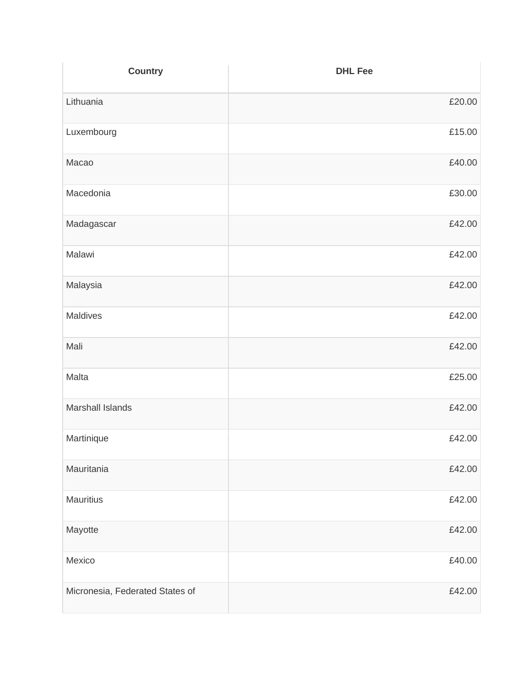| <b>Country</b>                  | <b>DHL Fee</b> |
|---------------------------------|----------------|
| Lithuania                       | £20.00         |
| Luxembourg                      | £15.00         |
| Macao                           | £40.00         |
| Macedonia                       | £30.00         |
| Madagascar                      | £42.00         |
| Malawi                          | £42.00         |
| Malaysia                        | £42.00         |
| Maldives                        | £42.00         |
| Mali                            | £42.00         |
| Malta                           | £25.00         |
| <b>Marshall Islands</b>         | £42.00         |
| Martinique                      | £42.00         |
| Mauritania                      | £42.00         |
| <b>Mauritius</b>                | £42.00         |
| Mayotte                         | £42.00         |
| Mexico                          | £40.00         |
| Micronesia, Federated States of | £42.00         |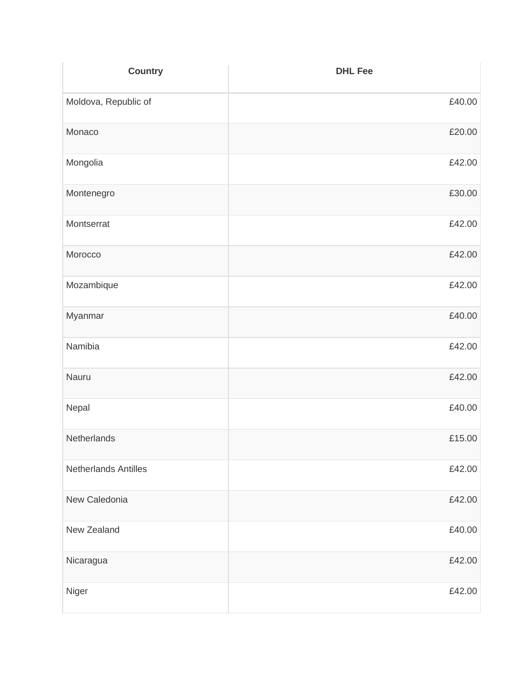| <b>Country</b>       | <b>DHL Fee</b> |
|----------------------|----------------|
| Moldova, Republic of | £40.00         |
| Monaco               | £20.00         |
| Mongolia             | £42.00         |
| Montenegro           | £30.00         |
| Montserrat           | £42.00         |
| Morocco              | £42.00         |
| Mozambique           | £42.00         |
| Myanmar              | £40.00         |
| Namibia              | £42.00         |
| Nauru                | £42.00         |
| Nepal                | £40.00         |
| Netherlands          | £15.00         |
| Netherlands Antilles | £42.00         |
| New Caledonia        | £42.00         |
| New Zealand          | £40.00         |
| Nicaragua            | £42.00         |
| Niger                | £42.00         |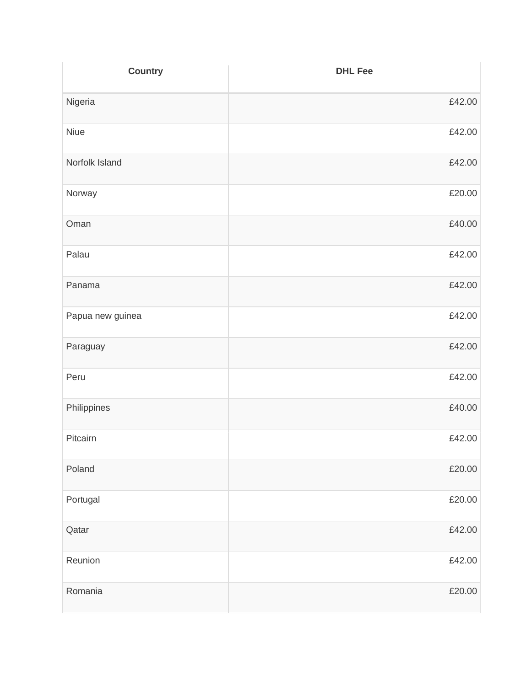| <b>Country</b>   | <b>DHL Fee</b> |
|------------------|----------------|
| Nigeria          | £42.00         |
| Niue             | £42.00         |
| Norfolk Island   | £42.00         |
| Norway           | £20.00         |
| Oman             | £40.00         |
| Palau            | £42.00         |
| Panama           | £42.00         |
| Papua new guinea | £42.00         |
| Paraguay         | £42.00         |
| Peru             | £42.00         |
| Philippines      | £40.00         |
| Pitcairn         | £42.00         |
| Poland           | £20.00         |
| Portugal         | £20.00         |
| Qatar            | £42.00         |
| Reunion          | £42.00         |
| Romania          | £20.00         |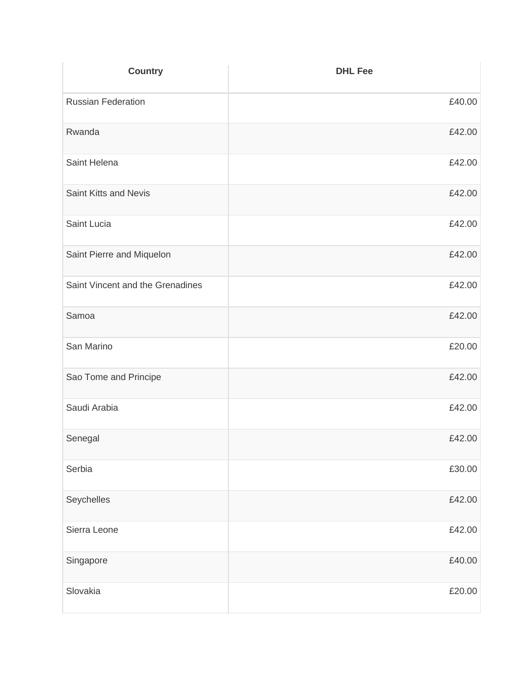| <b>Country</b>                   | <b>DHL Fee</b> |
|----------------------------------|----------------|
| <b>Russian Federation</b>        | £40.00         |
| Rwanda                           | £42.00         |
| Saint Helena                     | £42.00         |
| Saint Kitts and Nevis            | £42.00         |
| Saint Lucia                      | £42.00         |
| Saint Pierre and Miquelon        | £42.00         |
| Saint Vincent and the Grenadines | £42.00         |
| Samoa                            | £42.00         |
| San Marino                       | £20.00         |
| Sao Tome and Principe            | £42.00         |
| Saudi Arabia                     | £42.00         |
| Senegal                          | £42.00         |
| Serbia                           | £30.00         |
| Seychelles                       | £42.00         |
| Sierra Leone                     | £42.00         |
| Singapore                        | £40.00         |
| Slovakia                         | £20.00         |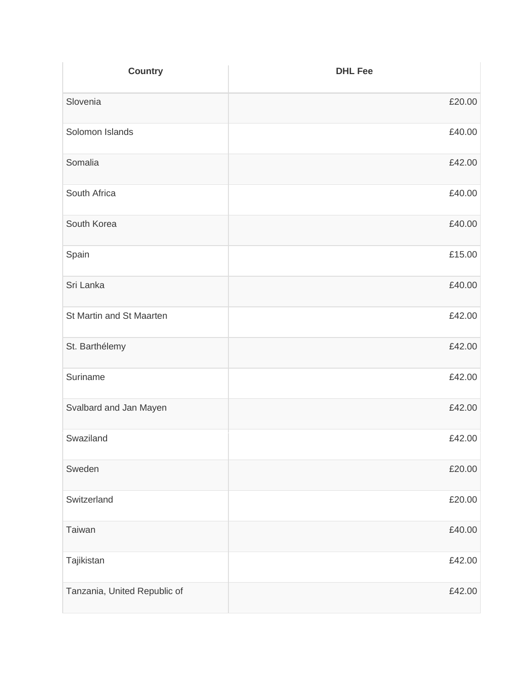| <b>Country</b>               | <b>DHL Fee</b> |
|------------------------------|----------------|
| Slovenia                     | £20.00         |
| Solomon Islands              | £40.00         |
| Somalia                      | £42.00         |
| South Africa                 | £40.00         |
| South Korea                  | £40.00         |
| Spain                        | £15.00         |
| Sri Lanka                    | £40.00         |
| St Martin and St Maarten     | £42.00         |
| St. Barthélemy               | £42.00         |
| Suriname                     | £42.00         |
| Svalbard and Jan Mayen       | £42.00         |
| Swaziland                    | £42.00         |
| Sweden                       | £20.00         |
| Switzerland                  | £20.00         |
| Taiwan                       | £40.00         |
| Tajikistan                   | £42.00         |
| Tanzania, United Republic of | £42.00         |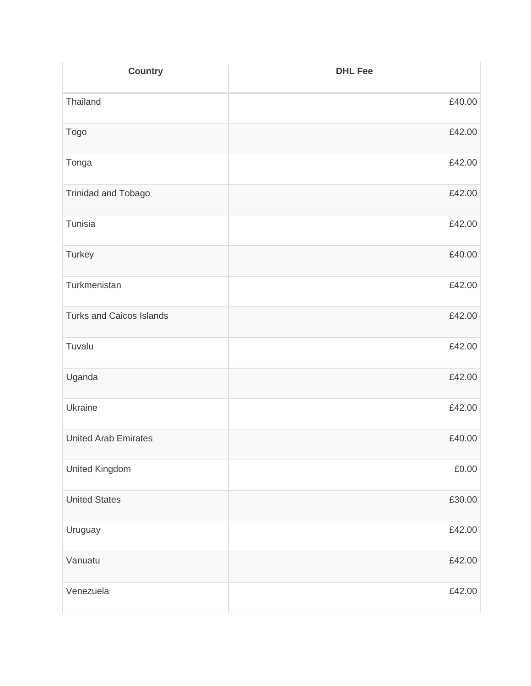| <b>Country</b>                  | <b>DHL Fee</b> |
|---------------------------------|----------------|
| Thailand                        | £40.00         |
| Togo                            | £42.00         |
| Tonga                           | £42.00         |
| Trinidad and Tobago             | £42.00         |
| Tunisia                         | £42.00         |
| Turkey                          | £40.00         |
| Turkmenistan                    | £42.00         |
| <b>Turks and Caicos Islands</b> | £42.00         |
| Tuvalu                          | £42.00         |
| Uganda                          | £42.00         |
| Ukraine                         | £42.00         |
| <b>United Arab Emirates</b>     | £40.00         |
| <b>United Kingdom</b>           | £0.00          |
| <b>United States</b>            | £30.00         |
| Uruguay                         | £42.00         |
| Vanuatu                         | £42.00         |
| Venezuela                       | £42.00         |